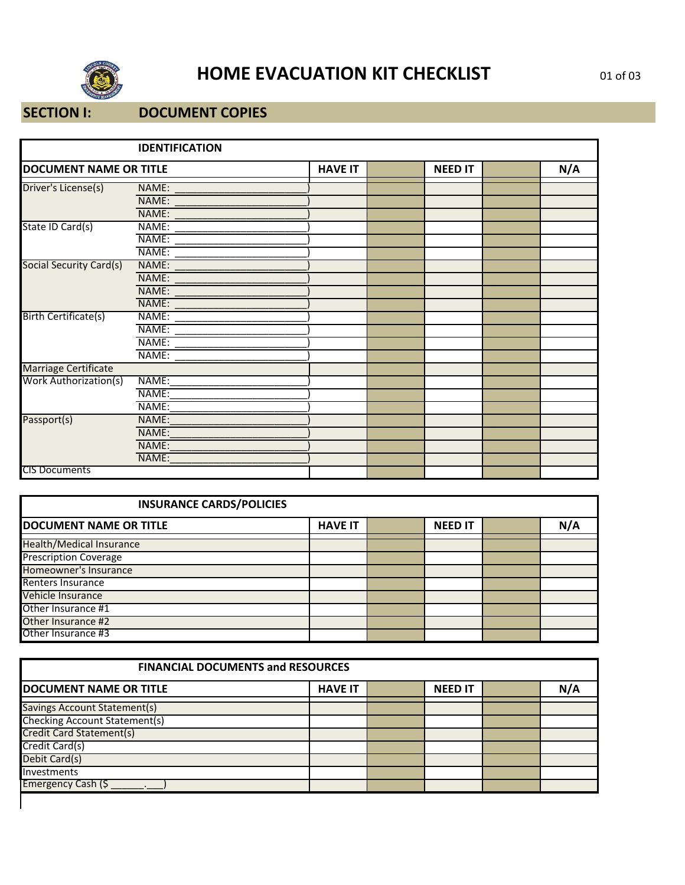

# **HOME EVACUATION KIT CHECKLIST** 01 of 03

#### **SECTION I: DOCUMENT COPIES**

|                               | <b>IDENTIFICATION</b> |                |                |     |
|-------------------------------|-----------------------|----------------|----------------|-----|
| <b>DOCUMENT NAME OR TITLE</b> |                       | <b>HAVE IT</b> | <b>NEED IT</b> | N/A |
| Driver's License(s)           | NAME:                 |                |                |     |
|                               | NAME:                 |                |                |     |
|                               | NAME:                 |                |                |     |
| State ID Card(s)              | NAME:                 |                |                |     |
|                               | NAME:                 |                |                |     |
|                               | NAME:                 |                |                |     |
| Social Security Card(s)       | NAME:                 |                |                |     |
|                               | NAME:                 |                |                |     |
|                               | NAME:                 |                |                |     |
|                               | NAME:                 |                |                |     |
| Birth Certificate(s)          | NAME:                 |                |                |     |
|                               | NAME:                 |                |                |     |
|                               | NAME:                 |                |                |     |
|                               | NAME:                 |                |                |     |
| Marriage Certificate          |                       |                |                |     |
| <b>Work Authorization(s)</b>  | NAME:                 |                |                |     |
|                               | NAME:                 |                |                |     |
|                               | NAME:                 |                |                |     |
| Passport(s)                   | NAME:                 |                |                |     |
|                               | NAME:                 |                |                |     |
|                               | NAME:                 |                |                |     |
|                               | NAME:                 |                |                |     |
| <b>CIS Documents</b>          |                       |                |                |     |

| <b>INSURANCE CARDS/POLICIES</b> |                |                |     |
|---------------------------------|----------------|----------------|-----|
| <b>DOCUMENT NAME OR TITLE</b>   | <b>HAVE IT</b> | <b>NEED IT</b> | N/A |
| <b>Health/Medical Insurance</b> |                |                |     |
| <b>Prescription Coverage</b>    |                |                |     |
| Homeowner's Insurance           |                |                |     |
| Renters Insurance               |                |                |     |
| Vehicle Insurance               |                |                |     |
| Other Insurance #1              |                |                |     |
| Other Insurance #2              |                |                |     |
| Other Insurance #3              |                |                |     |

| <b>FINANCIAL DOCUMENTS and RESOURCES</b> |                |  |                |  |     |  |
|------------------------------------------|----------------|--|----------------|--|-----|--|
| <b>DOCUMENT NAME OR TITLE</b>            | <b>HAVE IT</b> |  | <b>NEED IT</b> |  | N/A |  |
| Savings Account Statement(s)             |                |  |                |  |     |  |
| <b>Checking Account Statement(s)</b>     |                |  |                |  |     |  |
| Credit Card Statement(s)                 |                |  |                |  |     |  |
| Credit Card(s)                           |                |  |                |  |     |  |
| Debit Card(s)                            |                |  |                |  |     |  |
| Investments                              |                |  |                |  |     |  |
| Emergency Cash (\$                       |                |  |                |  |     |  |
|                                          |                |  |                |  |     |  |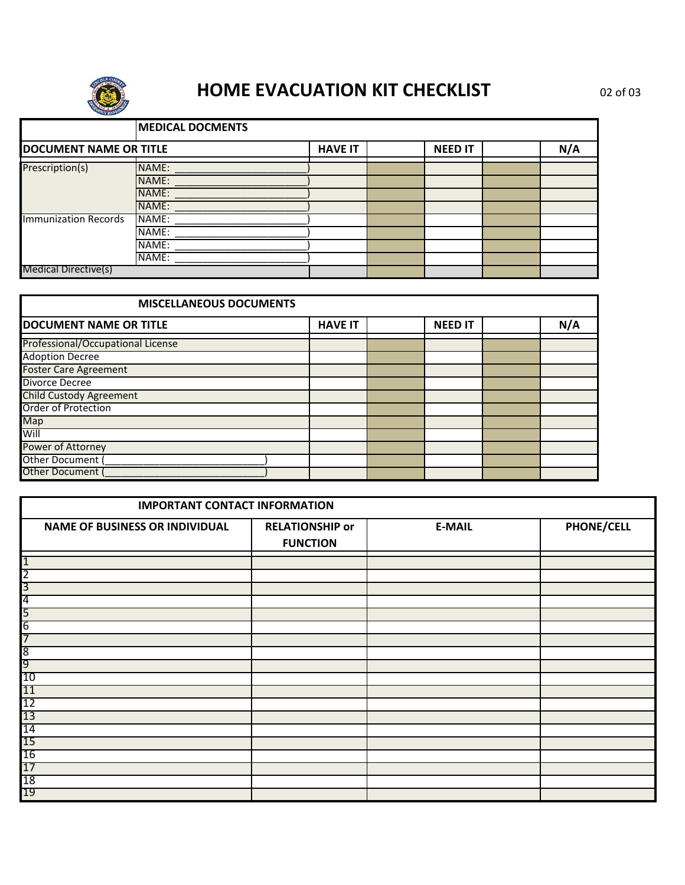

## **HOME EVACUATION KIT CHECKLIST** 02 of 03

|                               | <b>MEDICAL DOCMENTS</b> |                |                |     |
|-------------------------------|-------------------------|----------------|----------------|-----|
| <b>DOCUMENT NAME OR TITLE</b> |                         | <b>HAVE IT</b> | <b>NEED IT</b> | N/A |
| Prescription(s)               | NAME:                   |                |                |     |
|                               | NAME:                   |                |                |     |
|                               | NAME:                   |                |                |     |
|                               | NAME:                   |                |                |     |
| Immunization Records          | NAME:                   |                |                |     |
|                               | NAME:                   |                |                |     |
|                               | NAME:                   |                |                |     |
|                               | NAME:                   |                |                |     |
| Medical Directive(s)          |                         |                |                |     |

| <b>MISCELLANEOUS DOCUMENTS</b>    |                |                |     |
|-----------------------------------|----------------|----------------|-----|
| <b>DOCUMENT NAME OR TITLE</b>     | <b>HAVE IT</b> | <b>NEED IT</b> | N/A |
| Professional/Occupational License |                |                |     |
| <b>Adoption Decree</b>            |                |                |     |
| <b>Foster Care Agreement</b>      |                |                |     |
| <b>Divorce Decree</b>             |                |                |     |
| <b>Child Custody Agreement</b>    |                |                |     |
| Order of Protection               |                |                |     |
| Map                               |                |                |     |
| Will                              |                |                |     |
| Power of Attorney                 |                |                |     |
| Other Document (                  |                |                |     |
| Other Document (                  |                |                |     |

| <b>IMPORTANT CONTACT INFORMATION</b>                     |                                           |               |                   |  |  |  |
|----------------------------------------------------------|-------------------------------------------|---------------|-------------------|--|--|--|
| <b>NAME OF BUSINESS OR INDIVIDUAL</b>                    | <b>RELATIONSHIP or</b><br><b>FUNCTION</b> | <b>E-MAIL</b> | <b>PHONE/CELL</b> |  |  |  |
| $\overline{1}$                                           |                                           |               |                   |  |  |  |
| $\overline{2}$                                           |                                           |               |                   |  |  |  |
| $\overline{3}$                                           |                                           |               |                   |  |  |  |
| 4                                                        |                                           |               |                   |  |  |  |
| 5                                                        |                                           |               |                   |  |  |  |
| 6                                                        |                                           |               |                   |  |  |  |
| 7                                                        |                                           |               |                   |  |  |  |
| $\overline{8}$                                           |                                           |               |                   |  |  |  |
| $\overline{9}$                                           |                                           |               |                   |  |  |  |
|                                                          |                                           |               |                   |  |  |  |
|                                                          |                                           |               |                   |  |  |  |
|                                                          |                                           |               |                   |  |  |  |
|                                                          |                                           |               |                   |  |  |  |
|                                                          |                                           |               |                   |  |  |  |
|                                                          |                                           |               |                   |  |  |  |
| 10<br>11<br>12<br>13<br>14<br>15<br>16<br>17<br>18<br>19 |                                           |               |                   |  |  |  |
|                                                          |                                           |               |                   |  |  |  |
|                                                          |                                           |               |                   |  |  |  |
|                                                          |                                           |               |                   |  |  |  |